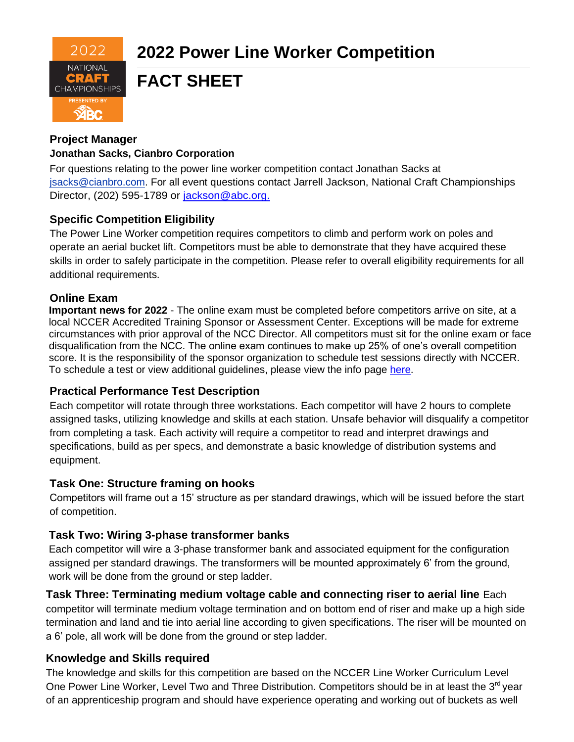

# **FACT SHEET**

# **Project Manager**

#### **Jonathan Sacks, Cianbro Corpora**t**ion**

For questions relating to the power line worker competition contact Jonathan Sacks at [jsacks@cianbro.com.](mailto:jsacks@cianbro.com) For all event questions contact Jarrell Jackson, National Craft Championships Director, (202) 595-1789 or [jackson@abc.org.](mailto:jackson@abc.org.)

## **Specific Competition Eligibility**

The Power Line Worker competition requires competitors to climb and perform work on poles and operate an aerial bucket lift. Competitors must be able to demonstrate that they have acquired these skills in order to safely participate in the competition. Please refer to overall eligibility requirements for all additional requirements.

## **Online Exam**

**Important news for 2022** - The online exam must be completed before competitors arrive on site, at a local NCCER Accredited Training Sponsor or Assessment Center. Exceptions will be made for extreme circumstances with prior approval of the NCC Director. All competitors must sit for the online exam or face disqualification from the NCC. The online exam continues to make up 25% of one's overall competition score. It is the responsibility of the sponsor organization to schedule test sessions directly with NCCER. To schedule a test or view additional guidelines, please view the info page [here.](https://abc.org/Portals/1/NCC/National%20Craft%20Championship%20Testing%20Overview%20and%20Registration.pdf?ver=2022-01-31-154655-600)

## **Practical Performance Test Description**

Each competitor will rotate through three workstations. Each competitor will have 2 hours to complete assigned tasks, utilizing knowledge and skills at each station. Unsafe behavior will disqualify a competitor from completing a task. Each activity will require a competitor to read and interpret drawings and specifications, build as per specs, and demonstrate a basic knowledge of distribution systems and equipment.

## **Task One: Structure framing on hooks**

Competitors will frame out a 15' structure as per standard drawings, which will be issued before the start of competition.

## **Task Two: Wiring 3-phase transformer banks**

Each competitor will wire a 3-phase transformer bank and associated equipment for the configuration assigned per standard drawings. The transformers will be mounted approximately 6' from the ground, work will be done from the ground or step ladder.

## **Task Three: Terminating medium voltage cable and connecting riser to aerial line** Each

competitor will terminate medium voltage termination and on bottom end of riser and make up a high side termination and land and tie into aerial line according to given specifications. The riser will be mounted on a 6' pole, all work will be done from the ground or step ladder.

## **Knowledge and Skills required**

The knowledge and skills for this competition are based on the NCCER Line Worker Curriculum Level One Power Line Worker, Level Two and Three Distribution. Competitors should be in at least the 3<sup>rd</sup> year of an apprenticeship program and should have experience operating and working out of buckets as well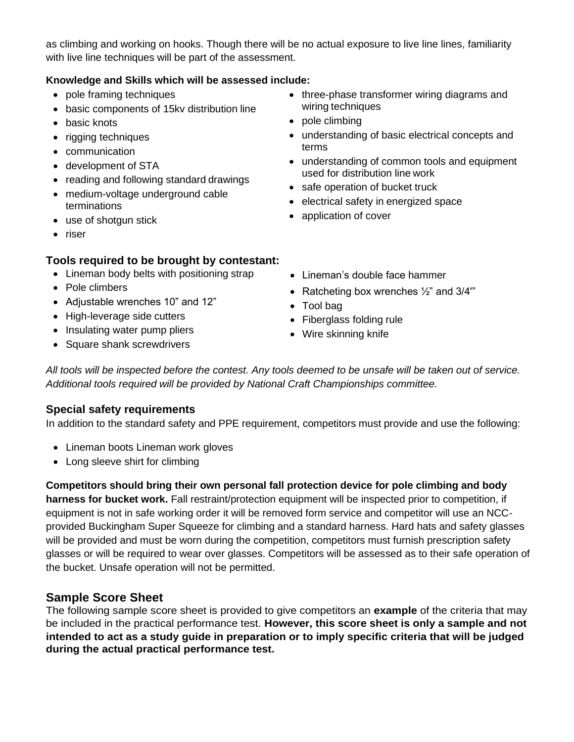as climbing and working on hooks. Though there will be no actual exposure to live line lines, familiarity with live line techniques will be part of the assessment.

#### **Knowledge and Skills which will be assessed include:**

- pole framing techniques
- basic components of 15kv distribution line
- basic knots
- rigging techniques
- communication
- development of STA
- reading and following standard drawings
- medium-voltage underground cable terminations
- use of shotgun stick
- riser

#### **Tools required to be brought by contestant:**

- Lineman body belts with positioning strap
- Pole climbers
- Adjustable wrenches 10" and 12"
- High-leverage side cutters
- Insulating water pump pliers
- Square shank screwdrivers
- three-phase transformer wiring diagrams and wiring techniques
- pole climbing
- understanding of basic electrical concepts and terms
- understanding of common tools and equipment used for distribution line work
- safe operation of bucket truck
- electrical safety in energized space
- application of cover
- Lineman's double face hammer
- Ratcheting box wrenches  $\frac{1}{2}$  and 3/4"
- Tool bag
- Fiberglass folding rule
- Wire skinning knife

*All tools will be inspected before the contest. Any tools deemed to be unsafe will be taken out of service. Additional tools required will be provided by National Craft Championships committee.*

## **Special safety requirements**

In addition to the standard safety and PPE requirement, competitors must provide and use the following:

- Lineman boots Lineman work gloves
- Long sleeve shirt for climbing

**Competitors should bring their own personal fall protection device for pole climbing and body** 

**harness for bucket work.** Fall restraint/protection equipment will be inspected prior to competition, if equipment is not in safe working order it will be removed form service and competitor will use an NCCprovided Buckingham Super Squeeze for climbing and a standard harness. Hard hats and safety glasses will be provided and must be worn during the competition, competitors must furnish prescription safety glasses or will be required to wear over glasses. Competitors will be assessed as to their safe operation of the bucket. Unsafe operation will not be permitted.

## **Sample Score Sheet**

The following sample score sheet is provided to give competitors an **example** of the criteria that may be included in the practical performance test. **However, this score sheet is only a sample and not intended to act as a study guide in preparation or to imply specific criteria that will be judged during the actual practical performance test.**